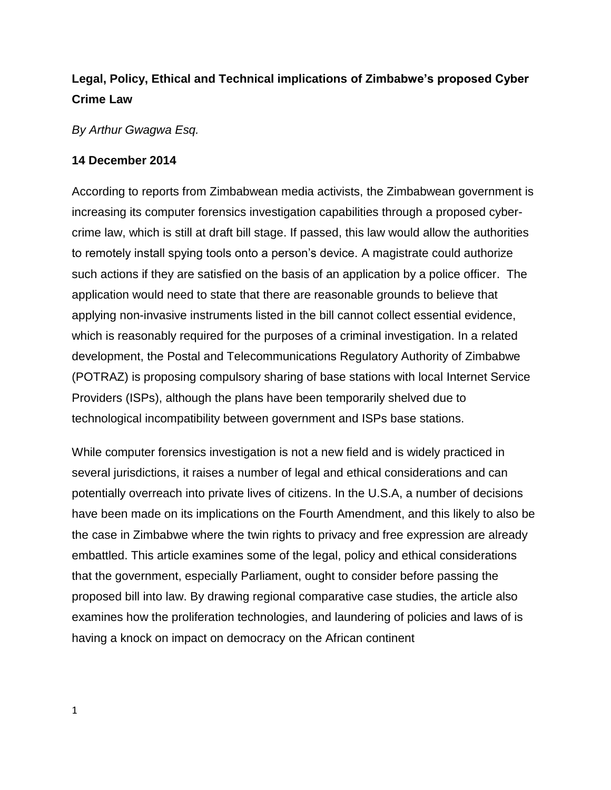# **Legal, Policy, Ethical and Technical implications of Zimbabwe's proposed Cyber Crime Law**

*By Arthur Gwagwa Esq.*

## **14 December 2014**

According to reports from Zimbabwean media activists, the Zimbabwean government is increasing its computer forensics investigation capabilities through a proposed cybercrime law, which is still at draft bill stage. If passed, this law would allow the authorities to remotely install spying tools onto a person's device. A magistrate could authorize such actions if they are satisfied on the basis of an application by a police officer. The application would need to state that there are reasonable grounds to believe that applying non-invasive instruments listed in the bill cannot collect essential evidence, which is reasonably required for the purposes of a criminal investigation. In a related development, the Postal and Telecommunications Regulatory Authority of Zimbabwe (POTRAZ) is proposing compulsory sharing of base stations with local Internet Service Providers (ISPs), although the plans have been temporarily shelved due to technological incompatibility between government and ISPs base stations.

While computer forensics investigation is not a new field and is widely practiced in several jurisdictions, it raises a number of legal and ethical considerations and can potentially overreach into private lives of citizens. In the U.S.A, a number of decisions have been made on its implications on the Fourth Amendment, and this likely to also be the case in Zimbabwe where the twin rights to privacy and free expression are already embattled. This article examines some of the legal, policy and ethical considerations that the government, especially Parliament, ought to consider before passing the proposed bill into law. By drawing regional comparative case studies, the article also examines how the proliferation technologies, and laundering of policies and laws of is having a knock on impact on democracy on the African continent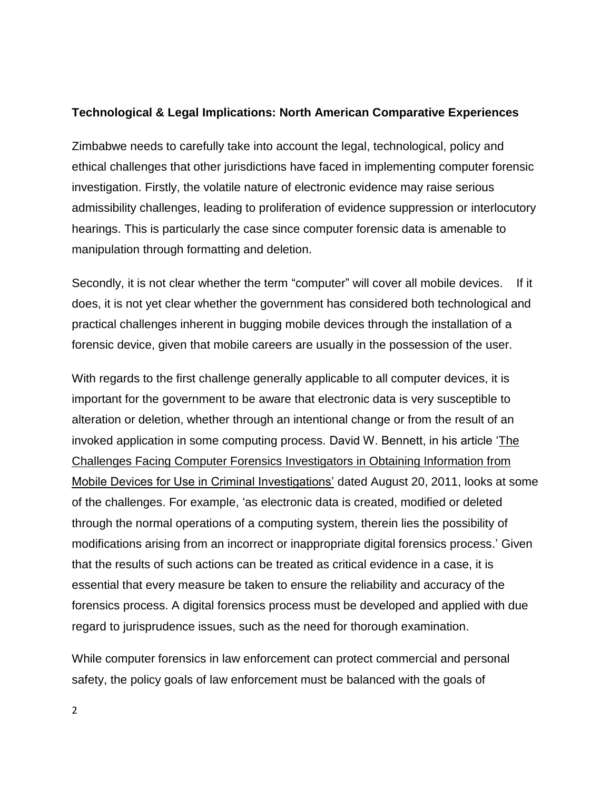#### **Technological & Legal Implications: North American Comparative Experiences**

Zimbabwe needs to carefully take into account the legal, technological, policy and ethical challenges that other jurisdictions have faced in implementing computer forensic investigation. Firstly, the volatile nature of electronic evidence may raise serious admissibility challenges, leading to proliferation of evidence suppression or interlocutory hearings. This is particularly the case since computer forensic data is amenable to manipulation through formatting and deletion.

Secondly, it is not clear whether the term "computer" will cover all mobile devices. If it does, it is not yet clear whether the government has considered both technological and practical challenges inherent in bugging mobile devices through the installation of a forensic device, given that mobile careers are usually in the possession of the user.

With regards to the first challenge generally applicable to all computer devices, it is important for the government to be aware that electronic data is very susceptible to alteration or deletion, whether through an intentional change or from the result of an invoked application in some computing process. David W. Bennett, in his article ['The](http://articles.forensicfocus.com/2011/08/22/the-challenges-facing-computer-forensics-investigators-in-obtaining-information-from-mobile-devices-for-use-in-criminal-investigations/)  [Challenges Facing Computer Forensics Investigators in Obtaining Information from](http://articles.forensicfocus.com/2011/08/22/the-challenges-facing-computer-forensics-investigators-in-obtaining-information-from-mobile-devices-for-use-in-criminal-investigations/)  [Mobile Devices for Use in Criminal Investigations'](http://articles.forensicfocus.com/2011/08/22/the-challenges-facing-computer-forensics-investigators-in-obtaining-information-from-mobile-devices-for-use-in-criminal-investigations/) dated August 20, 2011, looks at some of the challenges. For example, 'as electronic data is created, modified or deleted through the normal operations of a computing system, therein lies the possibility of modifications arising from an incorrect or inappropriate digital forensics process.' Given that the results of such actions can be treated as critical evidence in a case, it is essential that every measure be taken to ensure the reliability and accuracy of the forensics process. A digital forensics process must be developed and applied with due regard to jurisprudence issues, such as the need for thorough examination.

While computer forensics in law enforcement can protect commercial and personal safety, the policy goals of law enforcement must be balanced with the goals of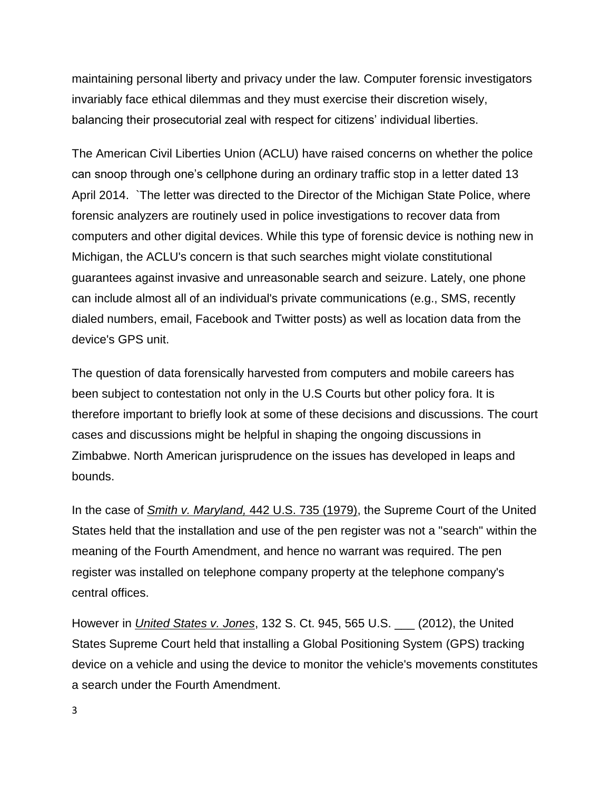maintaining personal liberty and privacy under the law. Computer forensic investigators invariably face ethical dilemmas and they must exercise their discretion wisely, balancing their prosecutorial zeal with respect for citizens' individual liberties.

The American Civil Liberties Union (ACLU) have raised concerns on whether the police can snoop through one's cellphone during an ordinary traffic stop in a letter dated 13 April 2014. `The letter was directed to the Director of the Michigan State Police, where forensic analyzers are routinely used in police investigations to recover data from computers and other digital devices. While this type of forensic device is nothing new in Michigan, the ACLU's concern is that such searches might violate constitutional guarantees against invasive and unreasonable search and seizure. Lately, one phone can include almost all of an individual's private communications (e.g., SMS, recently dialed numbers, email, Facebook and Twitter posts) as well as location data from the device's GPS unit.

The question of data forensically harvested from computers and mobile careers has been subject to contestation not only in the U.S Courts but other policy fora. It is therefore important to briefly look at some of these decisions and discussions. The court cases and discussions might be helpful in shaping the ongoing discussions in Zimbabwe. North American jurisprudence on the issues has developed in leaps and bounds.

In the case of *Smith v. Maryland,* [442 U.S. 735](http://en.wikipedia.org/wiki/Case_citation) (1979), the [Supreme Court of the United](http://en.wikipedia.org/wiki/Supreme_Court_of_the_United_States)  [States](http://en.wikipedia.org/wiki/Supreme_Court_of_the_United_States) held that the installation and use of the [pen register](http://en.wikipedia.org/wiki/Pen_register) was not a ["search"](http://en.wikipedia.org/wiki/Search_and_seizure) within the meaning of the [Fourth Amendment,](http://en.wikipedia.org/wiki/Fourth_Amendment_to_the_United_States_Constitution) and hence no [warrant](http://en.wikipedia.org/wiki/Warrant_(law)) was required. The pen register was installed on telephone company property at the telephone company's central offices.

However in *United States v. Jones*, 132 S. Ct. 945, [565 U.S. \\_\\_\\_](http://en.wikipedia.org/wiki/United_States_Reports) (2012), the [United](http://en.wikipedia.org/wiki/Supreme_Court_of_the_United_States)  [States Supreme Court](http://en.wikipedia.org/wiki/Supreme_Court_of_the_United_States) held that installing a [Global Positioning System](http://en.wikipedia.org/wiki/Global_Positioning_System) (GPS) tracking device on a vehicle and using the device to monitor the vehicle's movements constitutes a search under the [Fourth Amendment.](http://en.wikipedia.org/wiki/Fourth_Amendment_to_the_United_States_Constitution)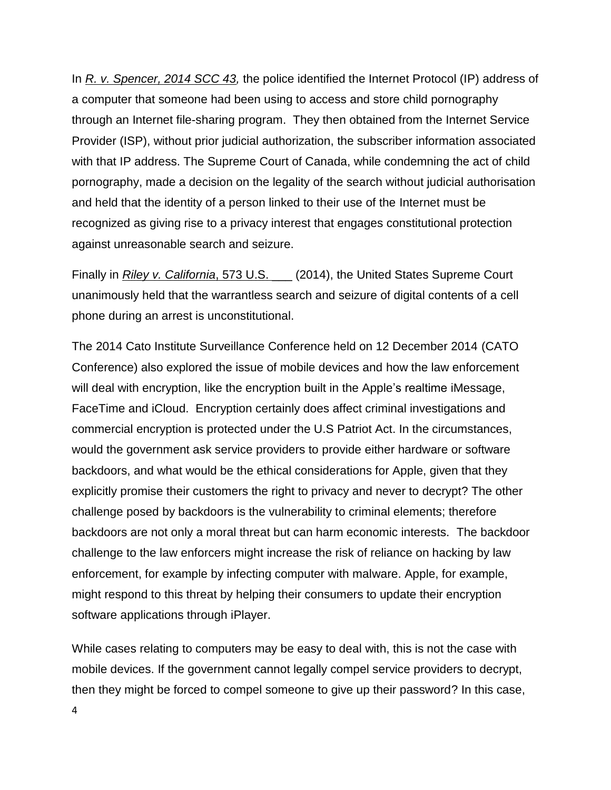In *R. v. [Spencer, 2014 SCC 43,](https://scc-csc.lexum.com/scc-csc/scc-csc/en/item/14233/index.dohttps:/scc-csc.lexum.com/scc-csc/scc-csc/en/item/14233/index.do)* the police identified the Internet Protocol (IP) address of a computer that someone had been using to access and store child pornography through an Internet file-sharing program. They then obtained from the Internet Service Provider (ISP), without prior judicial authorization, the subscriber information associated with that IP address. The Supreme Court of Canada, while condemning the act of child pornography, made a decision on the legality of the search without judicial authorisation and held that the identity of a person linked to their use of the Internet must be recognized as giving rise to a privacy interest that engages constitutional protection against unreasonable search and seizure.

Finally in *Riley v. California*, [573 U.S. \\_\\_\\_](http://en.wikipedia.org/wiki/United_States_Reports) (2014), the [United States Supreme Court](http://en.wikipedia.org/wiki/Supreme_Court_of_the_United_States) unanimously held that the warrantless search and seizure of digital contents of a [cell](http://en.wikipedia.org/wiki/Cell_phone)  [phone](http://en.wikipedia.org/wiki/Cell_phone) during an arrest is unconstitutional.

The 2014 Cato Institute Surveillance Conference held on 12 December 2014 (CATO Conference) also explored the issue of mobile devices and how the law enforcement will deal with encryption, like the encryption built in the Apple's realtime iMessage, FaceTime and iCloud. Encryption certainly does affect criminal investigations and commercial encryption is protected under the U.S Patriot Act. In the circumstances, would the government ask service providers to provide either hardware or software backdoors, and what would be the ethical considerations for Apple, given that they explicitly promise their customers the right to privacy and never to decrypt? The other challenge posed by backdoors is the vulnerability to criminal elements; therefore backdoors are not only a moral threat but can harm economic interests. The backdoor challenge to the law enforcers might increase the risk of reliance on hacking by law enforcement, for example by infecting computer with malware. Apple, for example, might respond to this threat by helping their consumers to update their encryption software applications through iPlayer.

While cases relating to computers may be easy to deal with, this is not the case with mobile devices. If the government cannot legally compel service providers to decrypt, then they might be forced to compel someone to give up their password? In this case,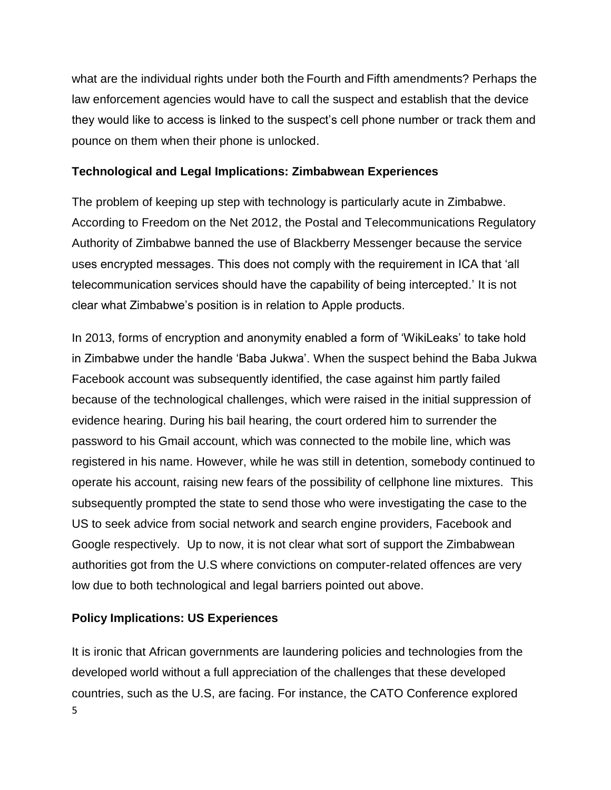what are the individual rights under both the Fourth and Fifth amendments? Perhaps the law enforcement agencies would have to call the suspect and establish that the device they would like to access is linked to the suspect's cell phone number or track them and pounce on them when their phone is unlocked.

## **Technological and Legal Implications: Zimbabwean Experiences**

The problem of keeping up step with technology is particularly acute in Zimbabwe. According to Freedom on the Net 2012, the Postal and Telecommunications Regulatory Authority of Zimbabwe banned the use of Blackberry Messenger because the service uses encrypted messages. This does not comply with the requirement in ICA that 'all telecommunication services should have the capability of being intercepted.' It is not clear what Zimbabwe's position is in relation to Apple products.

In 2013, forms of encryption and anonymity enabled a form of 'WikiLeaks' to take hold in Zimbabwe under the handle 'Baba Jukwa'. When the suspect behind the Baba Jukwa Facebook account was subsequently identified, the case against him partly failed because of the technological challenges, which were raised in the initial suppression of evidence hearing. During his bail hearing, the court ordered him to surrender the password to his Gmail account, which was connected to the mobile line, which was registered in his name. However, while he was still in detention, somebody continued to operate his account, raising new fears of the possibility of cellphone line mixtures. This subsequently prompted the state to send those who were investigating the case to the US to seek advice from social network and search engine providers, Facebook and Google respectively. Up to now, it is not clear what sort of support the Zimbabwean authorities got from the U.S where convictions on computer-related offences are very low due to both technological and legal barriers pointed out above.

## **Policy Implications: US Experiences**

5 It is ironic that African governments are laundering policies and technologies from the developed world without a full appreciation of the challenges that these developed countries, such as the U.S, are facing. For instance, the CATO Conference explored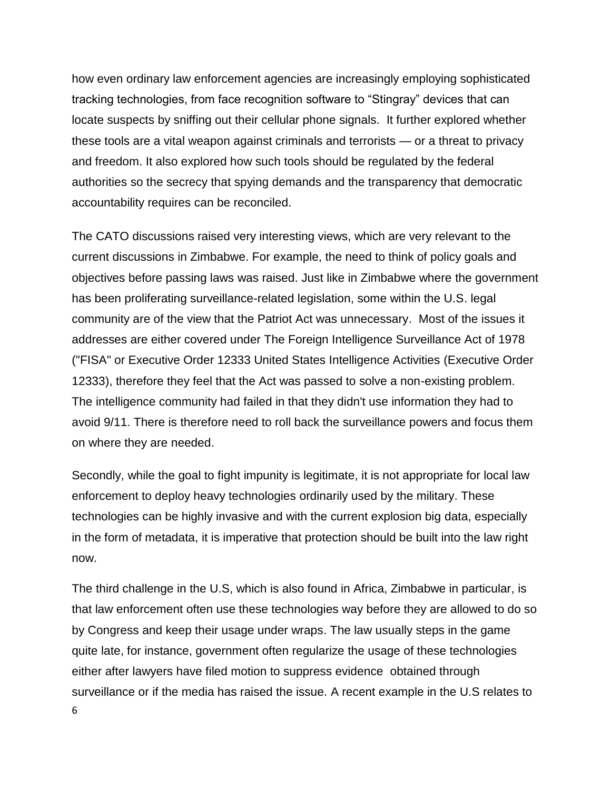how even ordinary law enforcement agencies are increasingly employing sophisticated tracking technologies, from face recognition software to "Stingray" devices that can locate suspects by sniffing out their cellular phone signals. It further explored whether these tools are a vital weapon against criminals and terrorists — or a threat to privacy and freedom. It also explored how such tools should be regulated by the federal authorities so the secrecy that spying demands and the transparency that democratic accountability requires can be reconciled.

The CATO discussions raised very interesting views, which are very relevant to the current discussions in Zimbabwe. For example, the need to think of policy goals and objectives before passing laws was raised. Just like in Zimbabwe where the government has been proliferating surveillance-related legislation, some within the U.S. legal community are of the view that the Patriot Act was unnecessary. Most of the issues it addresses are either covered under The Foreign Intelligence Surveillance Act of 1978 ("FISA" or Executive Order 12333 United States Intelligence Activities (Executive Order 12333), therefore they feel that the Act was passed to solve a non-existing problem. The intelligence community had failed in that they didn't use information they had to avoid 9/11. There is therefore need to roll back the surveillance powers and focus them on where they are needed.

Secondly, while the goal to fight impunity is legitimate, it is not appropriate for local law enforcement to deploy heavy technologies ordinarily used by the military. These technologies can be highly invasive and with the current explosion big data, especially in the form of metadata, it is imperative that protection should be built into the law right now.

6 The third challenge in the U.S, which is also found in Africa, Zimbabwe in particular, is that law enforcement often use these technologies way before they are allowed to do so by Congress and keep their usage under wraps. The law usually steps in the game quite late, for instance, government often regularize the usage of these technologies either after lawyers have filed motion to suppress evidence obtained through surveillance or if the media has raised the issue. A recent example in the U.S relates to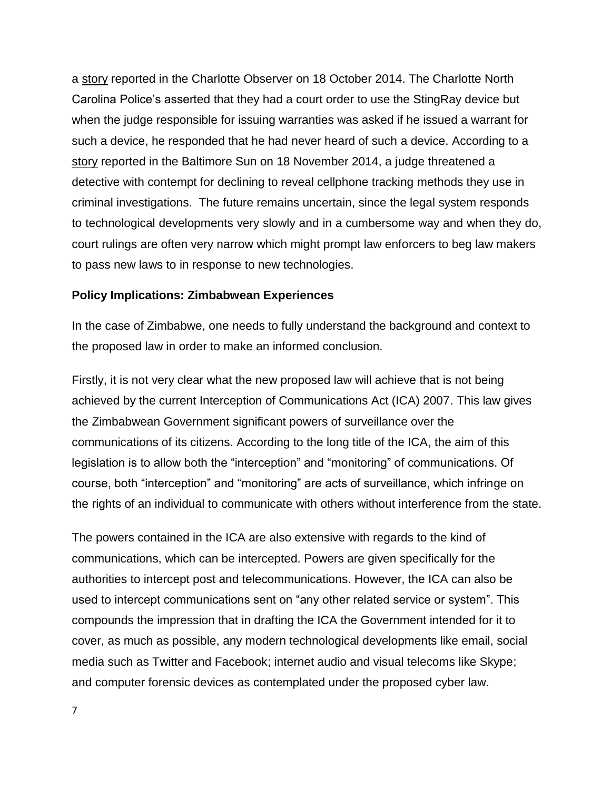a [story](http://www.charlotteobserver.com/2014/10/18/5250818/charlotte-police-investigators.html#.VIzRShZDRUE) reported in the Charlotte Observer on 18 October 2014. The Charlotte North Carolina Police's asserted that they had a court order to use the StingRay device but when the judge responsible for issuing warranties was asked if he issued a warrant for such a device, he responded that he had never heard of such a device. According to a [story](http://touch.baltimoresun.com/#section/-1/article/p2p-82003258/) reported in the Baltimore Sun on 18 November 2014, a judge threatened a detective with contempt for declining to reveal cellphone tracking methods they use in criminal investigations. The future remains uncertain, since the legal system responds to technological developments very slowly and in a cumbersome way and when they do, court rulings are often very narrow which might prompt law enforcers to beg law makers to pass new laws to in response to new technologies.

## **Policy Implications: Zimbabwean Experiences**

In the case of Zimbabwe, one needs to fully understand the background and context to the proposed law in order to make an informed conclusion.

Firstly, it is not very clear what the new proposed law will achieve that is not being achieved by the current Interception of Communications Act (ICA) 2007. This law gives the Zimbabwean Government significant powers of surveillance over the communications of its citizens. According to the long title of the ICA, the aim of this legislation is to allow both the "interception" and "monitoring" of communications. Of course, both "interception" and "monitoring" are acts of surveillance, which infringe on the rights of an individual to communicate with others without interference from the state.

The powers contained in the ICA are also extensive with regards to the kind of communications, which can be intercepted. Powers are given specifically for the authorities to intercept post and telecommunications. However, the ICA can also be used to intercept communications sent on "any other related service or system". This compounds the impression that in drafting the ICA the Government intended for it to cover, as much as possible, any modern technological developments like email, social media such as Twitter and Facebook; internet audio and visual telecoms like Skype; and computer forensic devices as contemplated under the proposed cyber law.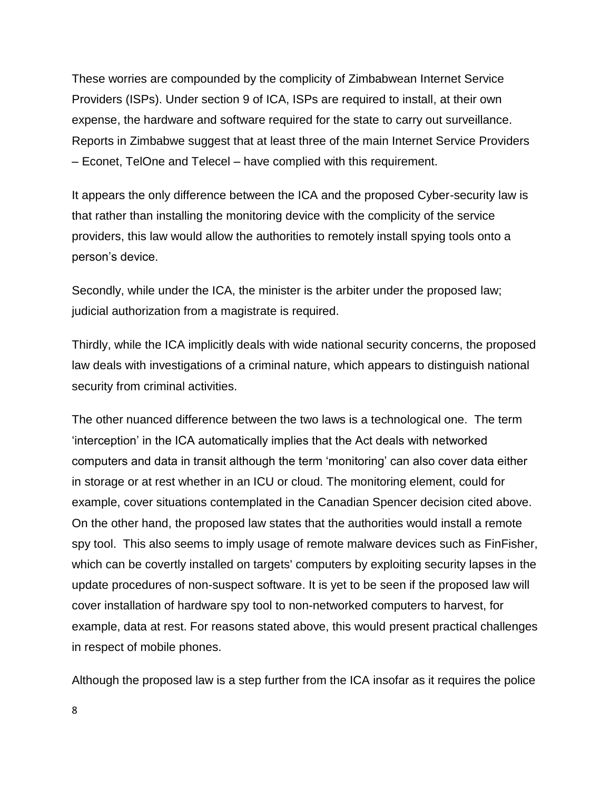These worries are compounded by the complicity of Zimbabwean Internet Service Providers (ISPs). Under section 9 of ICA, ISPs are required to install, at their own expense, the hardware and software required for the state to carry out surveillance. Reports in Zimbabwe suggest that at least three of the main Internet Service Providers – Econet, TelOne and Telecel – have complied with this requirement.

It appears the only difference between the ICA and the proposed Cyber-security law is that rather than installing the monitoring device with the complicity of the service providers, this law would allow the authorities to remotely install spying tools onto a person's device.

Secondly, while under the ICA, the minister is the arbiter under the proposed law; judicial authorization from a magistrate is required.

Thirdly, while the ICA implicitly deals with wide national security concerns, the proposed law deals with investigations of a criminal nature, which appears to distinguish national security from criminal activities.

The other nuanced difference between the two laws is a technological one. The term 'interception' in the ICA automatically implies that the Act deals with networked computers and data in transit although the term 'monitoring' can also cover data either in storage or at rest whether in an ICU or cloud. The monitoring element, could for example, cover situations contemplated in the Canadian Spencer decision cited above. On the other hand, the proposed law states that the authorities would install a remote spy tool. This also seems to imply usage of remote malware devices such as FinFisher, which can be covertly installed on targets' computers by exploiting security lapses in the [update](http://en.wikipedia.org/wiki/Patch_(computing)) procedures of non-suspect software. It is yet to be seen if the proposed law will cover installation of hardware spy tool to non-networked computers to harvest, for example, data at rest. For reasons stated above, this would present practical challenges in respect of mobile phones.

Although the proposed law is a step further from the ICA insofar as it requires the police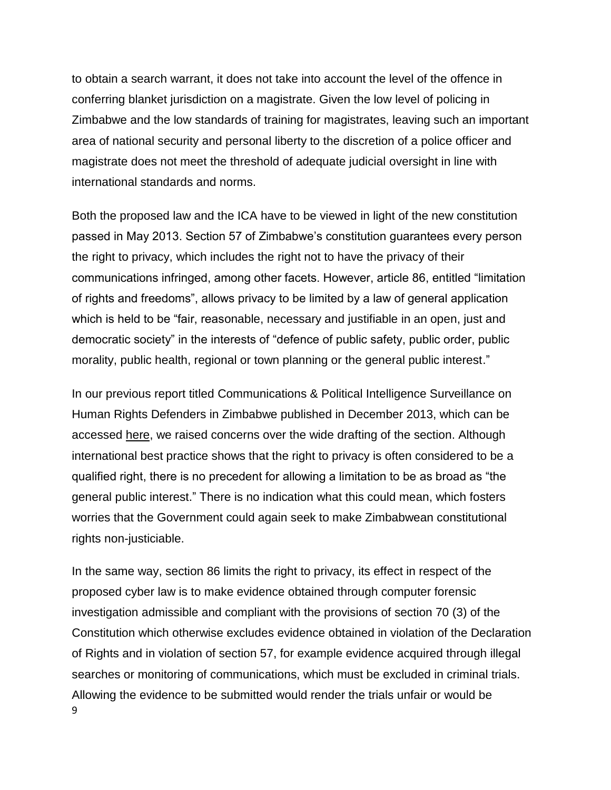to obtain a search warrant, it does not take into account the level of the offence in conferring blanket jurisdiction on a magistrate. Given the low level of policing in Zimbabwe and the low standards of training for magistrates, leaving such an important area of national security and personal liberty to the discretion of a police officer and magistrate does not meet the threshold of adequate judicial oversight in line with international standards and norms.

Both the proposed law and the ICA have to be viewed in light of the new constitution passed in May 2013. Section 57 of Zimbabwe's constitution guarantees every person the right to privacy, which includes the right not to have the privacy of their communications infringed, among other facets. However, article 86, entitled "limitation of rights and freedoms", allows privacy to be limited by a law of general application which is held to be "fair, reasonable, necessary and justifiable in an open, just and democratic society" in the interests of "defence of public safety, public order, public morality, public health, regional or town planning or the general public interest."

In our previous report titled Communications & Political Intelligence Surveillance on Human Rights Defenders in Zimbabwe published in December 2013, which can be accessed [here,](http://www.hrforumzim.org/wp-content/uploads/2014/01/BPUK15104_Insides.pdf) we raised concerns over the wide drafting of the section. Although international best practice shows that the right to privacy is often considered to be a qualified right, there is no precedent for allowing a limitation to be as broad as "the general public interest." There is no indication what this could mean, which fosters worries that the Government could again seek to make Zimbabwean constitutional rights non-justiciable.

9 In the same way, section 86 limits the right to privacy, its effect in respect of the proposed cyber law is to make evidence obtained through computer forensic investigation admissible and compliant with the provisions of section 70 (3) of the Constitution which otherwise excludes evidence obtained in violation of the Declaration of Rights and in violation of section 57, for example evidence acquired through illegal searches or monitoring of communications, which must be excluded in criminal trials. Allowing the evidence to be submitted would render the trials unfair or would be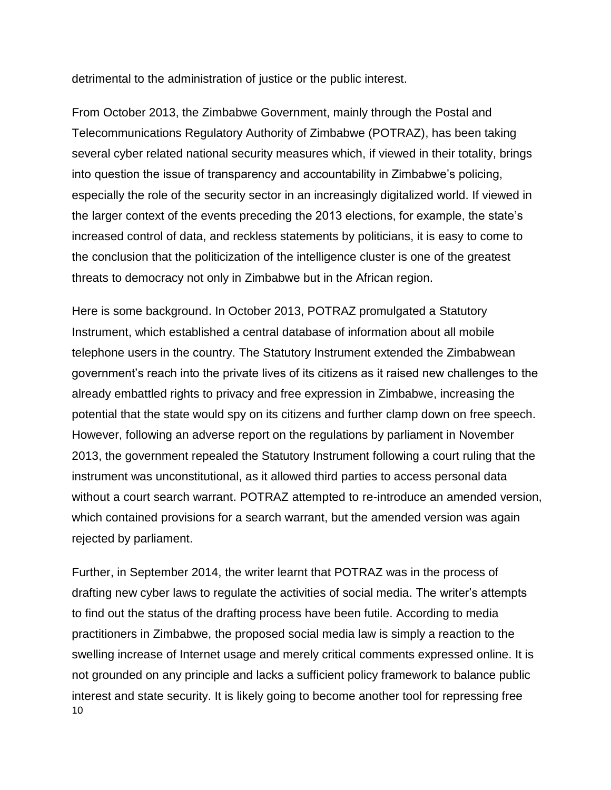detrimental to the administration of justice or the public interest.

From October 2013, the Zimbabwe Government, mainly through the Postal and Telecommunications Regulatory Authority of Zimbabwe (POTRAZ), has been taking several cyber related national security measures which, if viewed in their totality, brings into question the issue of transparency and accountability in Zimbabwe's policing, especially the role of the security sector in an increasingly digitalized world. If viewed in the larger context of the events preceding the 2013 elections, for example, the state's increased control of data, and reckless statements by politicians, it is easy to come to the conclusion that the politicization of the intelligence cluster is one of the greatest threats to democracy not only in Zimbabwe but in the African region.

Here is some background. In October 2013, POTRAZ promulgated a Statutory Instrument, which established a central database of information about all mobile telephone users in the country. The Statutory Instrument extended the Zimbabwean government's reach into the private lives of its citizens as it raised new challenges to the already embattled rights to privacy and free expression in Zimbabwe, increasing the potential that the state would spy on its citizens and further clamp down on free speech. However, following an adverse report on the regulations by parliament in November 2013, the government repealed the Statutory Instrument following a court ruling that the instrument was unconstitutional, as it allowed third parties to access personal data without a court search warrant. POTRAZ attempted to re-introduce an amended version, which contained provisions for a search warrant, but the amended version was again rejected by parliament.

10 Further, in September 2014, the writer learnt that POTRAZ was in the process of drafting new cyber laws to regulate the activities of social media. The writer's attempts to find out the status of the drafting process have been futile. According to media practitioners in Zimbabwe, the proposed social media law is simply a reaction to the swelling increase of Internet usage and merely critical comments expressed online. It is not grounded on any principle and lacks a sufficient policy framework to balance public interest and state security. It is likely going to become another tool for repressing free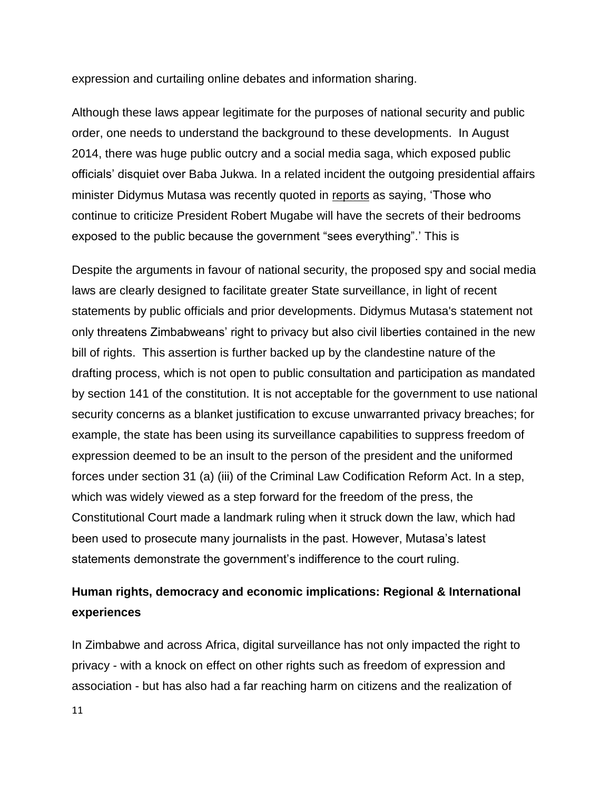expression and curtailing online debates and information sharing.

Although these laws appear legitimate for the purposes of national security and public order, one needs to understand the background to these developments. In August 2014, there was huge public outcry and a social media saga, which exposed public officials' disquiet over Baba Jukwa. In a related incident the outgoing presidential affairs minister Didymus Mutasa was recently quoted in [reports](http://www.newzimbabwe.com/news-16183-CIO+watching+your+bedrooms,+Mutasa/news.aspx) as saying, 'Those who continue to criticize President Robert Mugabe will have the secrets of their bedrooms exposed to the public because the government "sees everything".' This is

Despite the arguments in favour of national security, the proposed spy and social media laws are clearly designed to facilitate greater State surveillance, in light of recent statements by public officials and prior developments. Didymus Mutasa's statement not only threatens Zimbabweans' right to privacy but also civil liberties contained in the new bill of rights. This assertion is further backed up by the clandestine nature of the drafting process, which is not open to public consultation and participation as mandated by section 141 of the constitution. It is not acceptable for the government to use national security concerns as a blanket justification to excuse unwarranted privacy breaches; for example, the state has been using its surveillance capabilities to suppress freedom of expression deemed to be an insult to the person of the president and the uniformed forces under section 31 (a) (iii) of the Criminal Law Codification Reform Act. In a step, which was widely viewed as a step forward for the freedom of the press, the Constitutional Court made a landmark ruling when it struck down the law, which had been used to prosecute many journalists in the past. However, Mutasa's latest statements demonstrate the government's indifference to the court ruling.

# **Human rights, democracy and economic implications: Regional & International experiences**

In Zimbabwe and across Africa, digital surveillance has not only impacted the right to privacy - with a knock on effect on other rights such as freedom of expression and association - but has also had a far reaching harm on citizens and the realization of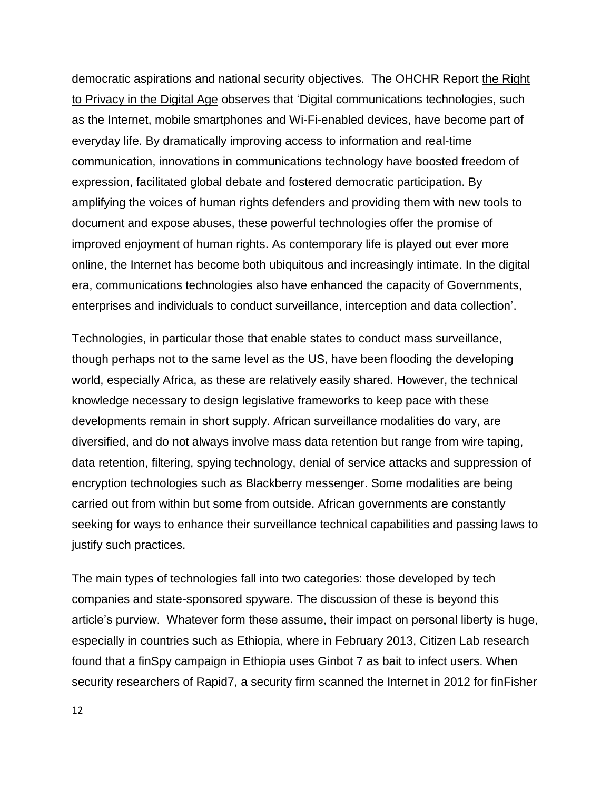democratic aspirations and national security objectives. The OHCHR Report the [Right](http://www.ohchr.org/en/hrbodies/hrc/regularsessions/session27/documents/a.hrc.27.37_en.pdf)  [to Privacy in the Digital Age](http://www.ohchr.org/en/hrbodies/hrc/regularsessions/session27/documents/a.hrc.27.37_en.pdf) observes that 'Digital communications technologies, such as the Internet, mobile smartphones and Wi-Fi-enabled devices, have become part of everyday life. By dramatically improving access to information and real-time communication, innovations in communications technology have boosted freedom of expression, facilitated global debate and fostered democratic participation. By amplifying the voices of human rights defenders and providing them with new tools to document and expose abuses, these powerful technologies offer the promise of improved enjoyment of human rights. As contemporary life is played out ever more online, the Internet has become both ubiquitous and increasingly intimate. In the digital era, communications technologies also have enhanced the capacity of Governments, enterprises and individuals to conduct surveillance, interception and data collection'.

Technologies, in particular those that enable states to conduct mass surveillance, though perhaps not to the same level as the US, have been flooding the developing world, especially Africa, as these are relatively easily shared. However, the technical knowledge necessary to design legislative frameworks to keep pace with these developments remain in short supply. African surveillance modalities do vary, are diversified, and do not always involve mass data retention but range from wire taping, data retention, filtering, spying technology, denial of service attacks and suppression of encryption technologies such as Blackberry messenger. Some modalities are being carried out from within but some from outside. African governments are constantly seeking for ways to enhance their surveillance technical capabilities and passing laws to justify such practices.

The main types of technologies fall into two categories: those developed by tech companies and state-sponsored spyware. The discussion of these is beyond this article's purview. Whatever form these assume, their impact on personal liberty is huge, especially in countries such as Ethiopia, where in February 2013, Citizen Lab research found that a finSpy campaign in Ethiopia uses Ginbot 7 as bait to infect users. When security researchers of Rapid7, a security firm scanned the Internet in 2012 for finFisher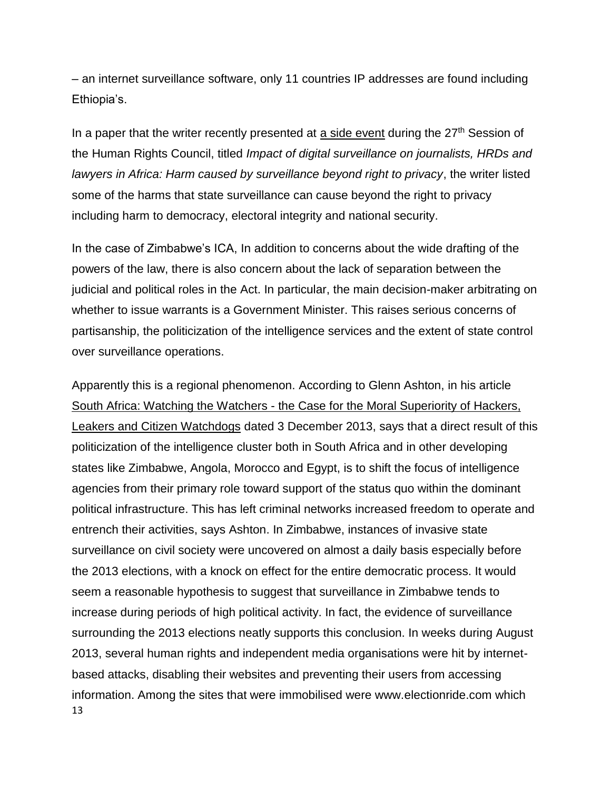– an internet surveillance software, only 11 countries IP addresses are found including Ethiopia's.

In a paper that the writer recently presented at [a side event](https://www.aclu.org/sites/default/files/assets/hrc27_aclu_side_event_impact_of_digital_surveillance.pdf) during the  $27<sup>th</sup>$  Session of the Human Rights Council, titled *Impact of digital surveillance on journalists, HRDs and lawyers in Africa: Harm caused by surveillance beyond right to privacy*, the writer listed some of the harms that state surveillance can cause beyond the right to privacy including harm to democracy, electoral integrity and national security.

In the case of Zimbabwe's ICA, In addition to concerns about the wide drafting of the powers of the law, there is also concern about the lack of separation between the judicial and political roles in the Act. In particular, the main decision-maker arbitrating on whether to issue warrants is a Government Minister. This raises serious concerns of partisanship, the politicization of the intelligence services and the extent of state control over surveillance operations.

13 Apparently this is a regional phenomenon. According to Glenn Ashton, in his article South Africa: Watching the Watchers - [the Case for the Moral Superiority of Hackers,](http://allafrica.com/stories/201312030877.html)  [Leakers and Citizen Watchdogs](http://allafrica.com/stories/201312030877.html) dated 3 December 2013, says that a direct result of this politicization of the intelligence cluster both in South Africa and in other developing states like Zimbabwe, Angola, Morocco and Egypt, is to shift the focus of intelligence agencies from their primary role toward support of the status quo within the dominant political infrastructure. This has left criminal networks increased freedom to operate and entrench their activities, says Ashton. In Zimbabwe, instances of invasive state surveillance on civil society were uncovered on almost a daily basis especially before the 2013 elections, with a knock on effect for the entire democratic process. It would seem a reasonable hypothesis to suggest that surveillance in Zimbabwe tends to increase during periods of high political activity. In fact, the evidence of surveillance surrounding the 2013 elections neatly supports this conclusion. In weeks during August 2013, several human rights and independent media organisations were hit by internetbased attacks, disabling their websites and preventing their users from accessing information. Among the sites that were immobilised were www[.electionride.com](http://electionride.com/) which